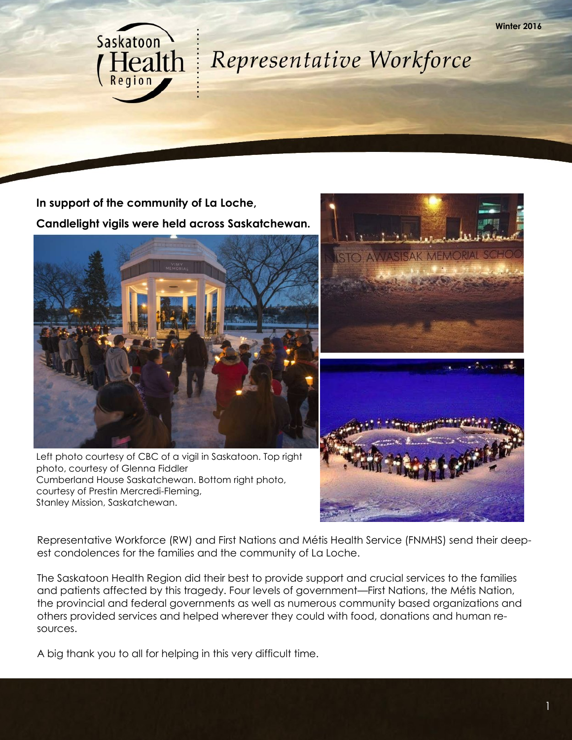

**In support of the community of La Loche, Candlelight vigils were held across Saskatchewan.**

**Saskatoon** 

**Health** 



Left photo courtesy of CBC of a vigil in Saskatoon. Top right photo, courtesy of Glenna Fiddler Cumberland House Saskatchewan. Bottom right photo, courtesy of Prestin Mercredi-Fleming, Stanley Mission, Saskatchewan.



**Winter 2016**

Representative Workforce (RW) and First Nations and Métis Health Service (FNMHS) send their deepest condolences for the families and the community of La Loche.

The Saskatoon Health Region did their best to provide support and crucial services to the families and patients affected by this tragedy. Four levels of government—First Nations, the Métis Nation, the provincial and federal governments as well as numerous community based organizations and others provided services and helped wherever they could with food, donations and human resources.

A big thank you to all for helping in this very difficult time.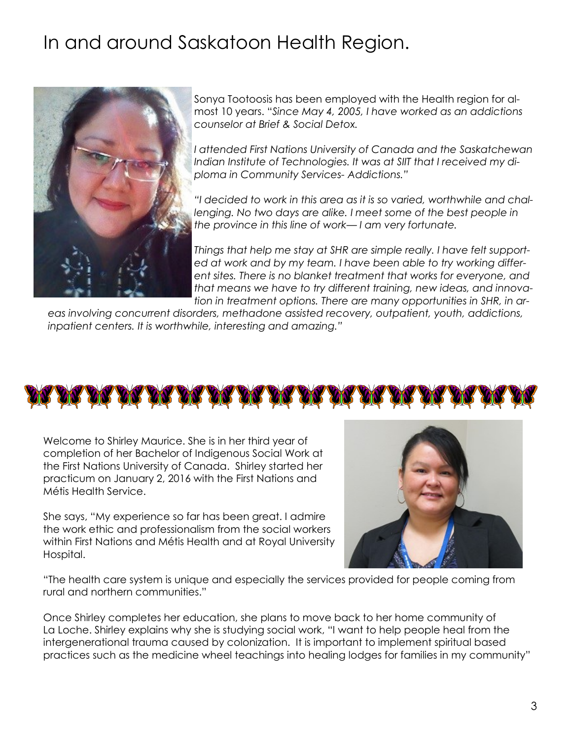## In and around Saskatoon Health Region.



Sonya Tootoosis has been employed with the Health region for almost 10 years. "*Since May 4, 2005, I have worked as an addictions counselor at Brief & Social Detox.* 

*I attended First Nations University of Canada and the Saskatchewan Indian Institute of Technologies. It was at SIIT that I received my diploma in Community Services- Addictions."*

*"I decided to work in this area as it is so varied, worthwhile and challenging. No two days are alike. I meet some of the best people in the province in this line of work— I am very fortunate.* 

*Things that help me stay at SHR are simple really. I have felt supported at work and by my team. I have been able to try working different sites. There is no blanket treatment that works for everyone, and that means we have to try different training, new ideas, and innovation in treatment options. There are many opportunities in SHR, in ar-*

*eas involving concurrent disorders, methadone assisted recovery, outpatient, youth, addictions, inpatient centers. It is worthwhile, interesting and amazing."*



Welcome to Shirley Maurice. She is in her third year of completion of her Bachelor of Indigenous Social Work at the First Nations University of Canada. Shirley started her practicum on January 2, 2016 with the First Nations and Métis Health Service.

She says, "My experience so far has been great. I admire the work ethic and professionalism from the social workers within First Nations and Métis Health and at Royal University Hospital.



"The health care system is unique and especially the services provided for people coming from rural and northern communities."

Once Shirley completes her education, she plans to move back to her home community of La Loche. Shirley explains why she is studying social work, "I want to help people heal from the intergenerational trauma caused by colonization. It is important to implement spiritual based practices such as the medicine wheel teachings into healing lodges for families in my community"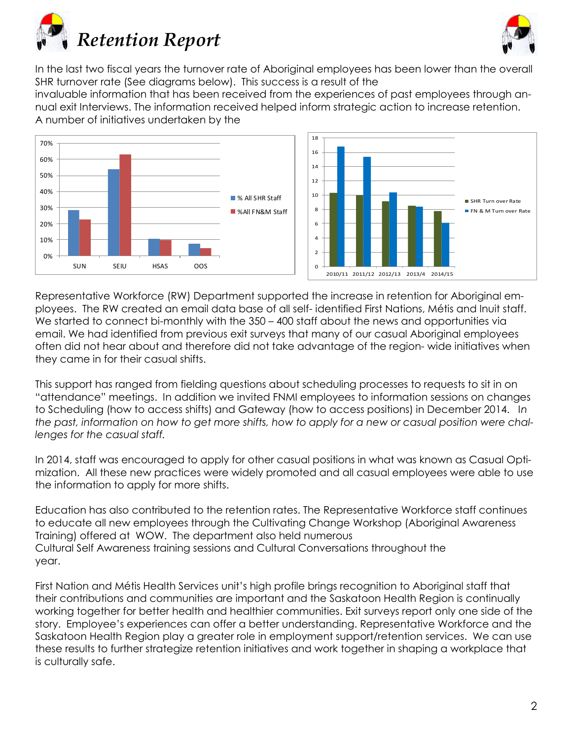



In the last two fiscal years the turnover rate of Aboriginal employees has been lower than the overall SHR turnover rate (See diagrams below). This success is a result of the

invaluable information that has been received from the experiences of past employees through annual exit Interviews. The information received helped inform strategic action to increase retention. A number of initiatives undertaken by the



Representative Workforce (RW) Department supported the increase in retention for Aboriginal employees. The RW created an email data base of all self- identified First Nations, Métis and Inuit staff. We started to connect bi-monthly with the 350 – 400 staff about the news and opportunities via email. We had identified from previous exit surveys that many of our casual Aboriginal employees often did not hear about and therefore did not take advantage of the region- wide initiatives when they came in for their casual shifts.

This support has ranged from fielding questions about scheduling processes to requests to sit in on "attendance" meetings. In addition we invited FNMI employees to information sessions on changes to Scheduling (how to access shifts) and Gateway (how to access positions) in December 2014. I*n the past, information on how to get more shifts, how to apply for a new or casual position were challenges for the casual staff.* 

In 2014, staff was encouraged to apply for other casual positions in what was known as Casual Optimization. All these new practices were widely promoted and all casual employees were able to use the information to apply for more shifts.

Education has also contributed to the retention rates. The Representative Workforce staff continues to educate all new employees through the Cultivating Change Workshop (Aboriginal Awareness Training) offered at WOW. The department also held numerous Cultural Self Awareness training sessions and Cultural Conversations throughout the year.

First Nation and Métis Health Services unit's high profile brings recognition to Aboriginal staff that their contributions and communities are important and the Saskatoon Health Region is continually working together for better health and healthier communities. Exit surveys report only one side of the story. Employee's experiences can offer a better understanding. Representative Workforce and the Saskatoon Health Region play a greater role in employment support/retention services. We can use these results to further strategize retention initiatives and work together in shaping a workplace that is culturally safe.